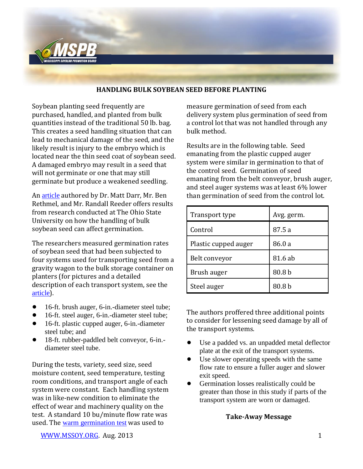

## **HANDLING BULK SOYBEAN SEED BEFORE PLANTING**

Soybean planting seed frequently are purchased, handled, and planted from bulk quantities instead of the traditional 50 lb. bag. This creates a seed handling situation that can lead to mechanical damage of the seed, and the likely result is injury to the embryo which is located near the thin seed coat of soybean seed. A damaged embryo may result in a seed that will not germinate or one that may still germinate but produce a weakened seedling.

An [article](http://www.lundellplastics.com/pdf_docs/soybean_germination_fact_sheet.pdf) authored by Dr. Matt Darr, Mr. Ben Rethmel, and Mr. Randall Reeder offers results from research conducted at The Ohio State University on how the handling of bulk soybean seed can affect germination.

The researchers measured germination rates of soybean seed that had been subjected to four systems used for transporting seed from a gravity wagon to the bulk storage container on planters (for pictures and a detailed description of each transport system, see the [article](http://www.lundellplastics.com/pdf_docs/soybean_germination_fact_sheet.pdf)).

- ! 16-ft. brush auger, 6-in.-diameter steel tube;
- ! 16-ft. steel auger, 6-in.-diameter steel tube;
- ! 16-ft. plastic cupped auger, 6-in.-diameter steel tube; and
- 18-ft. rubber-paddled belt conveyor, 6-in.diameter steel tube.

During the tests, variety, seed size, seed moisture content, seed temperature, testing room conditions, and transport angle of each system were constant. Each handling system was in like-new condition to eliminate the effect of wear and machinery quality on the test. A standard 10 bu/minute flow rate was used. The [warm germination test](http://www.seeds.iastate.edu/seedtest/testing.html) was used to

measure germination of seed from each delivery system plus germination of seed from a control lot that was not handled through any bulk method.

Results are in the following table. Seed emanating from the plastic cupped auger system were similar in germination to that of the control seed. Germination of seed emanating from the belt conveyor, brush auger, and steel auger systems was at least 6% lower than germination of seed from the control lot.

| Transport type       | Avg. germ. |
|----------------------|------------|
| Control              | 87.5 a     |
| Plastic cupped auger | 86.0 a     |
| Belt conveyor        | 81.6 ab    |
| Brush auger          | 80.8 b     |
| Steel auger          | 80.8 b     |

The authors proffered three additional points to consider for lessening seed damage by all of the transport systems.

- Use a padded vs. an unpadded metal deflector plate at the exit of the transport systems.
- Use slower operating speeds with the same flow rate to ensure a fuller auger and slower exit speed.
- Germination losses realistically could be greater than those in this study if parts of the transport system are worn or damaged.

## **Take-Away Message**

[WWW.MSSOY.ORG.](http://www.mssoy.org/) Aug. 2013 1